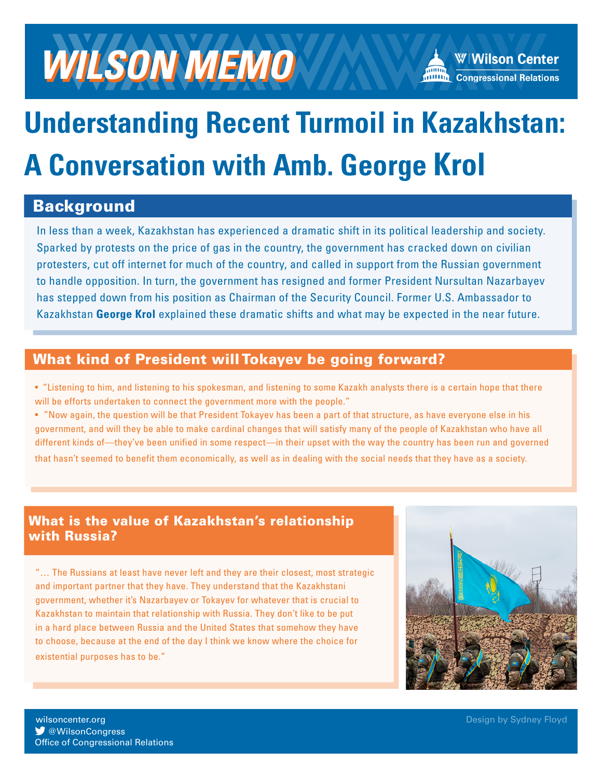

# **Understanding Recent Turmoil in Kazakhstan: A Conversation with Amb. George Krol**

### Background

In less than a week, Kazakhstan has experienced a dramatic shift in its political leadership and society. Sparked by protests on the price of gas in the country, the government has cracked down on civilian protesters, cut off internet for much of the country, and called in support from the Russian government to handle opposition. In turn, the government has resigned and former President Nursultan Nazarbayev has stepped down from his position as Chairman of the Security Council. Former U.S. Ambassador to Kazakhstan **George Krol** explained these dramatic shifts and what may be expected in the near future.

#### What kind of President will Tokayev be going forward?

• "Listening to him, and listening to his spokesman, and listening to some Kazakh analysts there is a certain hope that there will be efforts undertaken to connect the government more with the people."

• "Now again, the question will be that President Tokayev has been a part of that structure, as have everyone else in his government, and will they be able to make cardinal changes that will satisfy many of the people of Kazakhstan who have all different kinds of—they've been unified in some respect—in their upset with the way the country has been run and governed that hasn't seemed to benefit them economically, as well as in dealing with the social needs that they have as a society.

#### What is the value of Kazakhstan's relationship with Russia?

"… The Russians at least have never left and they are their closest, most strategic and important partner that they have. They understand that the Kazakhstani government, whether it's Nazarbayev or Tokayev for whatever that is crucial to Kazakhstan to maintain that relationship with Russia. They don't like to be put in a hard place between Russia and the United States that somehow they have to choose, because at the end of the day I think we know where the choice for existential purposes has to be."



**W** @WilsonCongress wilsoncenter.org Office of Congressional Relations